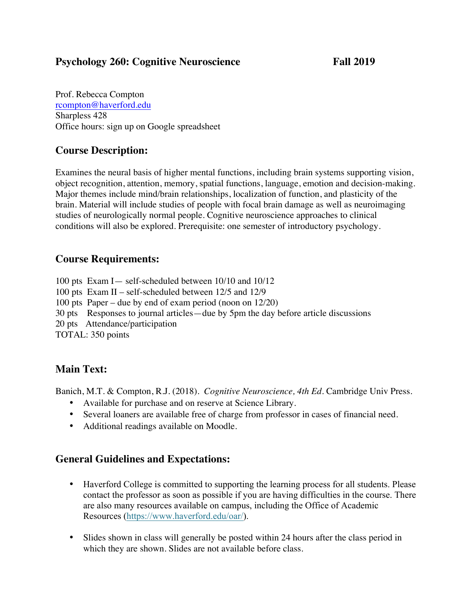#### **Psychology 260: Cognitive Neuroscience Fall 2019**

Prof. Rebecca Compton rcompton@haverford.edu Sharpless 428 Office hours: sign up on Google spreadsheet

# **Course Description:**

Examines the neural basis of higher mental functions, including brain systems supporting vision, object recognition, attention, memory, spatial functions, language, emotion and decision-making. Major themes include mind/brain relationships, localization of function, and plasticity of the brain. Material will include studies of people with focal brain damage as well as neuroimaging studies of neurologically normal people. Cognitive neuroscience approaches to clinical conditions will also be explored. Prerequisite: one semester of introductory psychology.

# **Course Requirements:**

100 pts Exam I— self-scheduled between 10/10 and 10/12 100 pts Exam II – self-scheduled between 12/5 and 12/9 100 pts Paper – due by end of exam period (noon on 12/20) 30 pts Responses to journal articles—due by 5pm the day before article discussions 20 pts Attendance/participation TOTAL: 350 points

# **Main Text:**

Banich, M.T. & Compton, R.J. (2018). *Cognitive Neuroscience, 4th Ed*. Cambridge Univ Press.

- Available for purchase and on reserve at Science Library.
- Several loaners are available free of charge from professor in cases of financial need.
- Additional readings available on Moodle.

## **General Guidelines and Expectations:**

- Haverford College is committed to supporting the learning process for all students. Please contact the professor as soon as possible if you are having difficulties in the course. There are also many resources available on campus, including the Office of Academic Resources (https://www.haverford.edu/oar/).
- Slides shown in class will generally be posted within 24 hours after the class period in which they are shown. Slides are not available before class.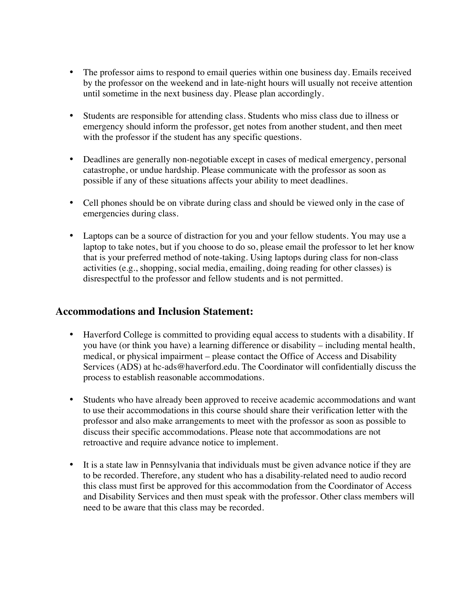- The professor aims to respond to email queries within one business day. Emails received by the professor on the weekend and in late-night hours will usually not receive attention until sometime in the next business day. Please plan accordingly.
- Students are responsible for attending class. Students who miss class due to illness or emergency should inform the professor, get notes from another student, and then meet with the professor if the student has any specific questions.
- Deadlines are generally non-negotiable except in cases of medical emergency, personal catastrophe, or undue hardship. Please communicate with the professor as soon as possible if any of these situations affects your ability to meet deadlines.
- Cell phones should be on vibrate during class and should be viewed only in the case of emergencies during class.
- Laptops can be a source of distraction for you and your fellow students. You may use a laptop to take notes, but if you choose to do so, please email the professor to let her know that is your preferred method of note-taking. Using laptops during class for non-class activities (e.g., shopping, social media, emailing, doing reading for other classes) is disrespectful to the professor and fellow students and is not permitted.

#### **Accommodations and Inclusion Statement:**

- Haverford College is committed to providing equal access to students with a disability. If you have (or think you have) a learning difference or disability – including mental health, medical, or physical impairment – please contact the Office of Access and Disability Services (ADS) at hc-ads@haverford.edu. The Coordinator will confidentially discuss the process to establish reasonable accommodations.
- Students who have already been approved to receive academic accommodations and want to use their accommodations in this course should share their verification letter with the professor and also make arrangements to meet with the professor as soon as possible to discuss their specific accommodations. Please note that accommodations are not retroactive and require advance notice to implement.
- It is a state law in Pennsylvania that individuals must be given advance notice if they are to be recorded. Therefore, any student who has a disability-related need to audio record this class must first be approved for this accommodation from the Coordinator of Access and Disability Services and then must speak with the professor. Other class members will need to be aware that this class may be recorded.